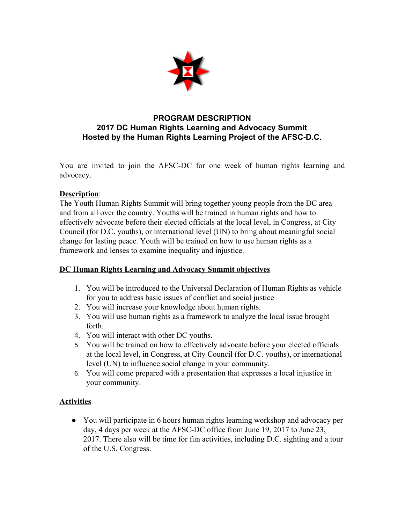

## **PROGRAM DESCRIPTION 2017 DC Human Rights Learning and Advocacy Summit Hosted by the Human Rights Learning Project of the AFSC-D.C.**

You are invited to join the AFSC-DC for one week of human rights learning and advocacy.

## **Description**:

The Youth Human Rights Summit will bring together young people from the DC area and from all over the country. Youths will be trained in human rights and how to effectively advocate before their elected officials at the local level, in Congress, at City Council (for D.C. youths), or international level (UN) to bring about meaningful social change for lasting peace. Youth will be trained on how to use human rights as a framework and lenses to examine inequality and injustice.

# **DC Human Rights Learning and Advocacy Summit objectives**

- 1. You will be introduced to the Universal Declaration of Human Rights as vehicle for you to address basic issues of conflict and social justice
- 2. You will increase your knowledge about human rights.
- 3. You will use human rights as a framework to analyze the local issue brought forth.
- 4. You will interact with other DC youths.
- 5. You will be trained on how to effectively advocate before your elected officials at the local level, in Congress, at City Council (for D.C. youths), or international level (UN) to influence social change in your community.
- 6. You will come prepared with a presentation that expresses a local injustice in your community.

### **Activities**

● You will participate in 6 hours human rights learning workshop and advocacy per day, 4 days per week at the AFSC-DC office from June 19, 2017 to June 23, 2017. There also will be time for fun activities, including D.C. sighting and a tour of the U.S. Congress.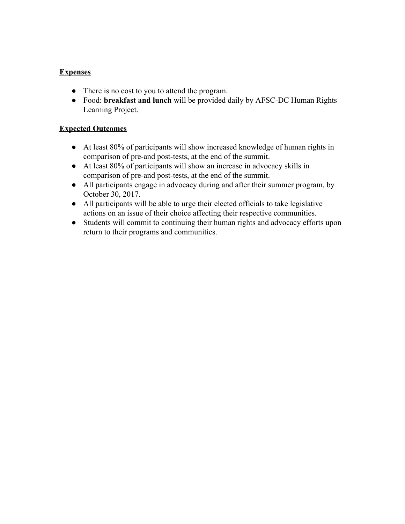## **Expenses**

- There is no cost to you to attend the program.
- Food: **breakfast and lunch** will be provided daily by AFSC-DC Human Rights Learning Project.

### **Expected Outcomes**

- At least 80% of participants will show increased knowledge of human rights in comparison of pre-and post-tests, at the end of the summit.
- At least 80% of participants will show an increase in advocacy skills in comparison of pre-and post-tests, at the end of the summit.
- All participants engage in advocacy during and after their summer program, by October 30, 2017.
- All participants will be able to urge their elected officials to take legislative actions on an issue of their choice affecting their respective communities.
- Students will commit to continuing their human rights and advocacy efforts upon return to their programs and communities.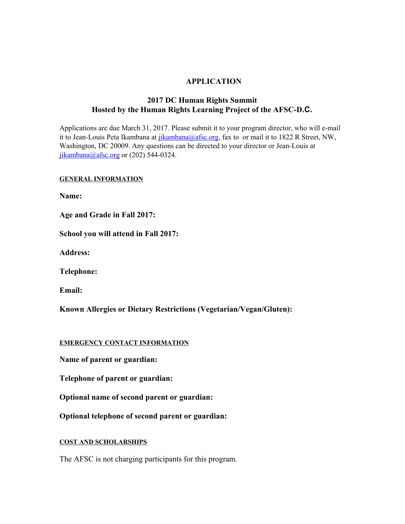#### **APPLICATION**

### **2017 DC Human Rights Summit Hosted by the Human Rights Learning Project of the AFSC-D.C.**

Applications are due March 31, 2017. Please submit it to your program director, who will e-mail it to Jean-Louis Peta Ikambana at *jikambana@afsc.org*, fax to or mail it to 1822 R Street, NW, Washington, DC 20009. Any questions can be directed to your director or Jean-Louis at [jikambana@afsc.org](mailto:jikambana@afsc.org) or  $(202)$  544-0324.

#### **GENERAL INFORMATION**

**Name:**

**Age and Grade in Fall 2017:**

**School you will attend in Fall 2017:**

**Address:**

**Telephone:**

**Email:**

**Known Allergies or Dietary Restrictions (Vegetarian/Vegan/Gluten):**

#### **EMERGENCY CONTACT INFORMATION**

**Name of parent or guardian:**

**Telephone of parent or guardian:**

**Optional name of second parent or guardian:**

**Optional telephone of second parent or guardian:**

#### **COST AND SCHOLARSHIPS**

The AFSC is not charging participants for this program.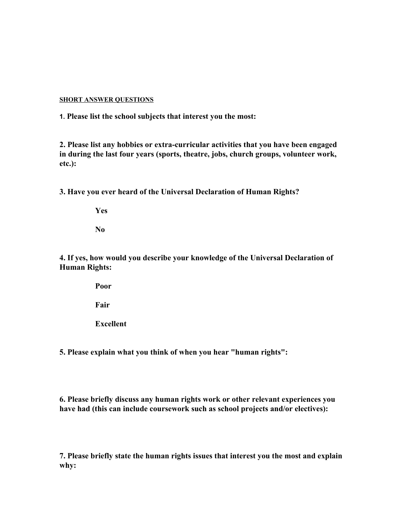#### **SHORT ANSWER QUESTIONS**

**1. Please list the school subjects that interest you the most:**

**2. Please list any hobbies or extra-curricular activities that you have been engaged in during the last four years (sports, theatre, jobs, church groups, volunteer work, etc.):**

**3. Have you ever heard of the Universal Declaration of Human Rights?**

**Yes**

**No**

**4. If yes, how would you describe your knowledge of the Universal Declaration of Human Rights:**

**Poor**

**Fair**

**Excellent**

**5. Please explain what you think of when you hear "human rights":**

**6. Please briefly discuss any human rights work or other relevant experiences you have had (this can include coursework such as school projects and/or electives):**

**7. Please briefly state the human rights issues that interest you the most and explain why:**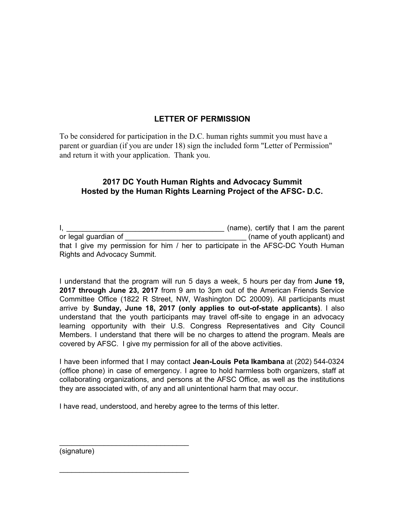# **LETTER OF PERMISSION**

To be considered for participation in the D.C. human rights summit you must have a parent or guardian (if you are under 18) sign the included form "Letter of Permission" and return it with your application. Thank you.

### **2017 DC Youth Human Rights and Advocacy Summit Hosted by the Human Rights Learning Project of the AFSC- D.C.**

|                             | (name), certify that I am the parent                                              |
|-----------------------------|-----------------------------------------------------------------------------------|
| or legal guardian of        | (name of youth applicant) and                                                     |
|                             | that I give my permission for him / her to participate in the AFSC-DC Youth Human |
| Rights and Advocacy Summit. |                                                                                   |

I understand that the program will run 5 days a week, 5 hours per day from **June 19, 2017 through June 23, 2017** from 9 am to 3pm out of the American Friends Service Committee Office (1822 R Street, NW, Washington DC 20009). All participants must arrive by **Sunday, June 18, 2017 (only applies to out-of-state applicants)**. I also understand that the youth participants may travel off-site to engage in an advocacy learning opportunity with their U.S. Congress Representatives and City Council Members. I understand that there will be no charges to attend the program. Meals are covered by AFSC. I give my permission for all of the above activities.

I have been informed that I may contact **Jean-Louis Peta Ikambana** at (202) 544-0324 (office phone) in case of emergency. I agree to hold harmless both organizers, staff at collaborating organizations, and persons at the AFSC Office, as well as the institutions they are associated with, of any and all unintentional harm that may occur.

I have read, understood, and hereby agree to the terms of this letter.

(signature)

\_\_\_\_\_\_\_\_\_\_\_\_\_\_\_\_\_\_\_\_\_\_\_\_\_\_\_\_\_\_\_\_

\_\_\_\_\_\_\_\_\_\_\_\_\_\_\_\_\_\_\_\_\_\_\_\_\_\_\_\_\_\_\_\_